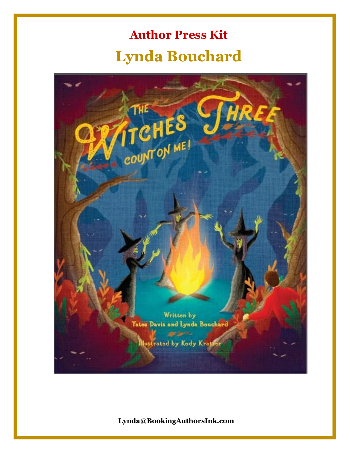# **Author Press Kit Lynda Bouchard**

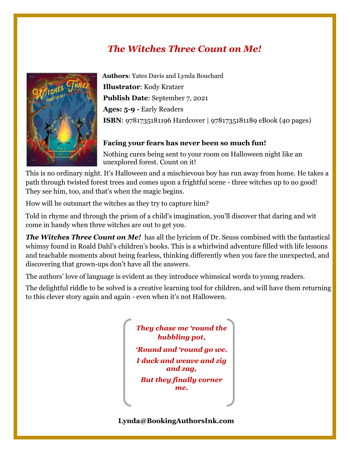# *The Witches Three Count on Me!*



**Authors**: Yates Davis and Lynda Bouchard **Illustrator**: Kody Kratzer **Publish Date**: September 7, 2021 **Ages: 5-9 -** Early Readers **ISBN**: 9781735181196 Hardcover | 9781735181189 eBook (40 pages)

#### **Facing your fears has never been so much fun!**

Nothing cures being sent to your room on Halloween night like an unexplored forest. Count on it!

This is no ordinary night. It's Halloween and a mischievous boy has run away from home. He takes a path through twisted forest trees and comes upon a frightful scene - three witches up to no good! They see him, too, and that's when the magic begins.

How will he outsmart the witches as they try to capture him?

 Told in rhyme and through the prism of a child's imagination, you'll discover that daring and wit come in handy when three witches are out to get you.

*The Witches Three Count on Me!* has all the lyricism of Dr. Seuss combined with the fantastical whimsy found in Roald Dahl"s children"s books. This is a whirlwind adventure filled with life lessons and teachable moments about being fearless, thinking differently when you face the unexpected, and discovering that grown-ups don't have all the answers.

The authors' love of language is evident as they introduce whimsical words to young readers.

The delightful riddle to be solved is a creative learning tool for children, and will have them returning to this clever story again and again - even when it's not Halloween.

> *They chase me 'round the bubbling pot,*

*'Round and 'round go we. I duck and weave and zig and zag,*

*But they finally corner me.*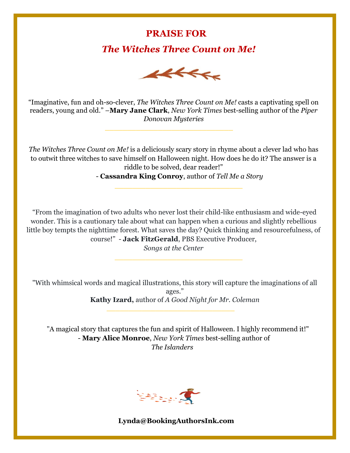### **PRAISE FOR**

### *The Witches Three Count on Me!*



"Imaginative, fun and oh-so-clever, *The Witches Three Count on Me!* casts a captivating spell on readers, young and old." –**Mary Jane Clark**, *New York Times* best-selling author of the *Piper Donovan Mysteries*

 $\frac{1}{\sqrt{2}}$  ,  $\frac{1}{\sqrt{2}}$  ,  $\frac{1}{\sqrt{2}}$  ,  $\frac{1}{\sqrt{2}}$  ,  $\frac{1}{\sqrt{2}}$  ,  $\frac{1}{\sqrt{2}}$  ,  $\frac{1}{\sqrt{2}}$  ,  $\frac{1}{\sqrt{2}}$  ,  $\frac{1}{\sqrt{2}}$  ,  $\frac{1}{\sqrt{2}}$  ,  $\frac{1}{\sqrt{2}}$  ,  $\frac{1}{\sqrt{2}}$  ,  $\frac{1}{\sqrt{2}}$  ,  $\frac{1}{\sqrt{2}}$  ,  $\frac{1}{\sqrt{2}}$ 

 $\frac{1}{\sqrt{2}}$  ,  $\frac{1}{\sqrt{2}}$  ,  $\frac{1}{\sqrt{2}}$  ,  $\frac{1}{\sqrt{2}}$  ,  $\frac{1}{\sqrt{2}}$  ,  $\frac{1}{\sqrt{2}}$  ,  $\frac{1}{\sqrt{2}}$  ,  $\frac{1}{\sqrt{2}}$  ,  $\frac{1}{\sqrt{2}}$  ,  $\frac{1}{\sqrt{2}}$  ,  $\frac{1}{\sqrt{2}}$  ,  $\frac{1}{\sqrt{2}}$  ,  $\frac{1}{\sqrt{2}}$  ,  $\frac{1}{\sqrt{2}}$  ,  $\frac{1}{\sqrt{2}}$ 

*The Witches Three Count on Me!* is a deliciously scary story in rhyme about a clever lad who has to outwit three witches to save himself on Halloween night. How does he do it? The answer is a riddle to be solved, dear reader!"

- **Cassandra King Conroy**, author of *Tell Me a Story*

"From the imagination of two adults who never lost their child-like enthusiasm and wide-eyed wonder. This is a cautionary tale about what can happen when a curious and slightly rebellious little boy tempts the nighttime forest. What saves the day? Quick thinking and resourcefulness, of course!" - **Jack FitzGerald**, PBS Executive Producer,

*Songs at the Center*

"With whimsical words and magical illustrations, this story will capture the imaginations of all ages." **Kathy Izard,** author of *A Good Night for Mr. Coleman*

"A magical story that captures the fun and spirit of Halloween. I highly recommend it!" - **Mary Alice Monroe**, *New York Times* best-selling author of *The Islanders*

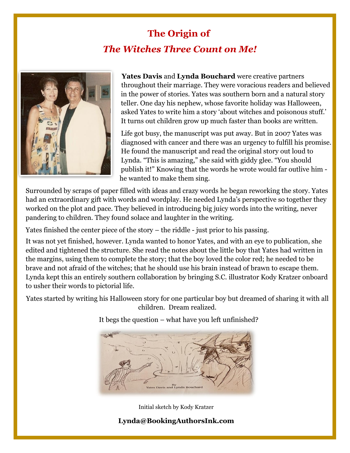# **The Origin of** *The Witches Three Count on Me!*



**Yates Davis** and **Lynda Bouchard** were creative partners throughout their marriage. They were voracious readers and believed in the power of stories. Yates was southern born and a natural story teller. One day his nephew, whose favorite holiday was Halloween, asked Yates to write him a story "about witches and poisonous stuff." It turns out children grow up much faster than books are written.

Life got busy, the manuscript was put away. But in 2007 Yates was diagnosed with cancer and there was an urgency to fulfill his promise. He found the manuscript and read the original story out loud to Lynda. "This is amazing," she said with giddy glee. "You should publish it!" Knowing that the words he wrote would far outlive him he wanted to make them sing.

Surrounded by scraps of paper filled with ideas and crazy words he began reworking the story. Yates had an extraordinary gift with words and wordplay. He needed Lynda's perspective so together they worked on the plot and pace. They believed in introducing big juicy words into the writing, never pandering to children. They found solace and laughter in the writing.

Yates finished the center piece of the story – the riddle - just prior to his passing.

It was not yet finished, however. Lynda wanted to honor Yates, and with an eye to publication, she edited and tightened the structure. She read the notes about the little boy that Yates had written in the margins, using them to complete the story; that the boy loved the color red; he needed to be brave and not afraid of the witches; that he should use his brain instead of brawn to escape them. Lynda kept this an entirely southern collaboration by bringing S.C. illustrator Kody Kratzer onboard to usher their words to pictorial life.

Yates started by writing his Halloween story for one particular boy but dreamed of sharing it with all children. Dream realized.

It begs the question – what have you left unfinished?



Initial sketch by Kody Kratzer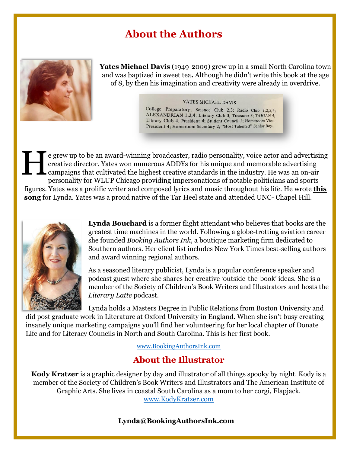# **About the Authors**



**Yates Michael Davis** (1949-2009) grew up in a small North Carolina town and was baptized in sweet tea**.** Although he didn"t write this book at the age of 8, by then his imagination and creativity were already in overdrive.

#### YATES MICHAEL DAVIS

College Preparatory; Science Club 2,3; Radio Club 1,2,3,4; ALEXANDRIAN 1,3,4; Literary Club 3, Treasurer 3; TAHIAN 4; Library Club 4, President 4; Student Council 1; Homeroom Vice-President 4; Homeroom Secretary 2; "Most Talented" Senior Boy.

e grew up to be an award-winning broadcaster, radio personality, voice actor and advertising creative director. Yates won numerous ADDYs for his unique and memorable advertising campaigns that cultivated the highest creative standards in the industry. He was an on-air personality for WLUP Chicago providing impersonations of notable politicians and sports figures. Yates was a prolific writer and composed lyrics and music throughout his life. He wrote **[this](http://bookingauthorsink.com/wp-content/uploads/2021/06/THE-Y-IN-LYNDAS-EYE-YATES-DAVIS-mp3.mp3) [song](http://bookingauthorsink.com/wp-content/uploads/2021/06/THE-Y-IN-LYNDAS-EYE-YATES-DAVIS-mp3.mp3)** for Lynda. Yates was a proud native of the Tar Heel state and attended UNC- Chapel Hill. H



**Lynda Bouchard** is a former flight attendant who believes that books are the greatest time machines in the world. Following a globe-trotting aviation career she founded *Booking Authors Ink*, a boutique marketing firm dedicated to Southern authors. Her client list includes New York Times best-selling authors and award winning regional authors.

As a seasoned literary publicist, Lynda is a popular conference speaker and podcast guest where she shares her creative "outside-the-book" ideas. She is a member of the Society of Children"s Book Writers and Illustrators and hosts the *Literary Latte* podcast.

Lynda holds a Masters Degree in Public Relations from Boston University and did post graduate work in Literature at Oxford University in England. When she isn't busy creating insanely unique marketing campaigns you"ll find her volunteering for her local chapter of Donate Life and for Literacy Councils in North and South Carolina. This is her first book.

[www.BookingAuthorsInk.com](http://www.bookingauthorsink.com/)

#### **About the Illustrator**

**Kody Kratzer** is a graphic designer by day and illustrator of all things spooky by night. Kody is a member of the Society of Children"s Book Writers and Illustrators and The American Institute of Graphic Arts. She lives in coastal South Carolina as a mom to her corgi, Flapjack. [www.KodyKratzer.com](http://www.kodykratzer.com/)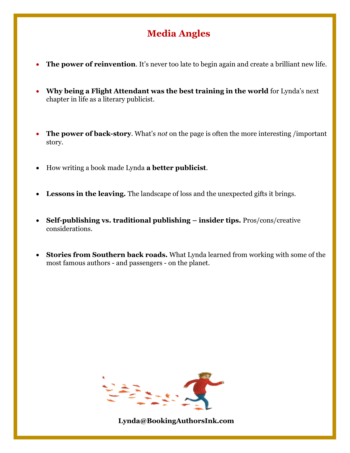# **Media Angles**

- **The power of reinvention.** It's never too late to begin again and create a brilliant new life.
- **Why being a Flight Attendant was the best training in the world** for Lynda"s next chapter in life as a literary publicist.
- **The power of back-story**. What"s *not* on the page is often the more interesting /important story.
- How writing a book made Lynda **a better publicist**.
- **Lessons in the leaving.** The landscape of loss and the unexpected gifts it brings.
- **Self-publishing vs. traditional publishing – insider tips.** Pros/cons/creative considerations.
- **Stories from Southern back roads.** What Lynda learned from working with some of the most famous authors - and passengers - on the planet.

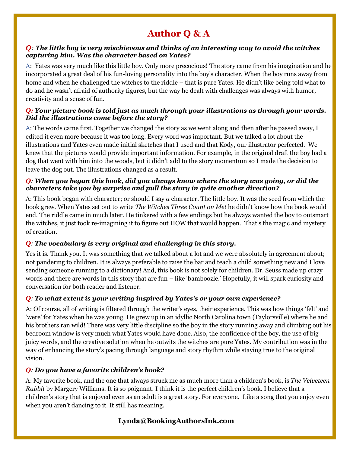# **Author Q & A**

#### *Q: The little boy is very mischievous and thinks of an interesting way to avoid the witches capturing him. Was the character based on Yates?*

A: Yates was very much like this little boy. Only more precocious! The story came from his imagination and he incorporated a great deal of his fun-loving personality into the boy"s character. When the boy runs away from home and when he challenged the witches to the riddle – that is pure Yates. He didn't like being told what to do and he wasn"t afraid of authority figures, but the way he dealt with challenges was always with humor, creativity and a sense of fun.

#### *Q: Your picture book is told just as much through your illustrations as through your words. Did the illustrations come before the story?*

A: The words came first. Together we changed the story as we went along and then after he passed away, I edited it even more because it was too long. Every word was important. But we talked a lot about the illustrations and Yates even made initial sketches that I used and that Kody, our illustrator perfected. We knew that the pictures would provide important information. For example, in the original draft the boy had a dog that went with him into the woods, but it didn"t add to the story momentum so I made the decision to leave the dog out. The illustrations changed as a result.

#### *Q: When you began this book, did you always know where the story was going, or did the characters take you by surprise and pull the story in quite another direction?*

A: This book began with character; or should I say *a* character. The little boy. It was the seed from which the book grew. When Yates set out to write *The Witches Three Count on Me!* he didn"t know how the book would end. The riddle came in much later. He tinkered with a few endings but he always wanted the boy to outsmart the witches, it just took re-imagining it to figure out HOW that would happen. That's the magic and mystery of creation.

#### *Q: The vocabulary is very original and challenging in this story.*

Yes it is. Thank you. It was something that we talked about a lot and we were absolutely in agreement about; not pandering to children. It is always preferable to raise the bar and teach a child something new and I love sending someone running to a dictionary! And, this book is not solely for children. Dr. Seuss made up crazy words and there are words in this story that are fun – like "bamboozle." Hopefully, it will spark curiosity and conversation for both reader and listener.

#### *Q: To what extent is your writing inspired by Yates's or your own experience?*

A: Of course, all of writing is filtered through the writer's eves, their experience. This was how things 'felt' and "were" for Yates when he was young. He grew up in an idyllic North Carolina town (Taylorsville) where he and his brothers ran wild! There was very little discipline so the boy in the story running away and climbing out his bedroom window is very much what Yates would have done. Also, the confidence of the boy, the use of big juicy words, and the creative solution when he outwits the witches are pure Yates. My contribution was in the way of enhancing the story"s pacing through language and story rhythm while staying true to the original vision.

#### *Q: Do you have a favorite children's book?*

A: My favorite book, and the one that always struck me as much more than a children"s book, is *The Velveteen Rabbit* by Margery Williams. It is so poignant. I think it is the perfect children"s book. I believe that a children"s story that is enjoyed even as an adult is a great story. For everyone. Like a song that you enjoy even when you aren"t dancing to it. It still has meaning.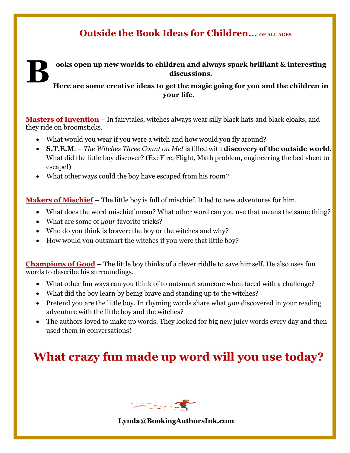### **Outside the Book Ideas for Children… OF ALL AGES**

**ooks open up new worlds to children and always spark brilliant & interesting discussions. B**

**Here are some creative ideas to get the magic going for you and the children in your life.** 

**Masters of Invention** – In fairytales, witches always wear silly black hats and black cloaks, and they ride on broomsticks.

- What would you wear if you were a witch and how would you fly around?
- **S.T.E.M**. *The Witches Three Count on Me!* is filled with **discovery of the outside world**. What did the little boy discover? (Ex: Fire, Flight, Math problem, engineering the bed sheet to escape!)
- What other ways could the boy have escaped from his room?

**Makers of Mischief –** The little boy is full of mischief. It led to new adventures for him.

- What does the word mischief mean? What other word can you use that means the same thing?
- What are some of *your* favorite tricks?
- Who do you think is braver: the boy or the witches and why?
- How would you outsmart the witches if you were that little boy?

**Champions of Good –** The little boy thinks of a clever riddle to save himself. He also uses fun words to describe his surroundings.

- What other fun ways can you think of to outsmart someone when faced with a challenge?
- What did the boy learn by being brave and standing up to the witches?
- Pretend you are the little boy. In rhyming words share what *you* discovered in your reading adventure with the little boy and the witches?
- The authors loved to make up words. They looked for big new juicy words every day and then used them in conversations!

# **What crazy fun made up word will you use today?**

**READERS**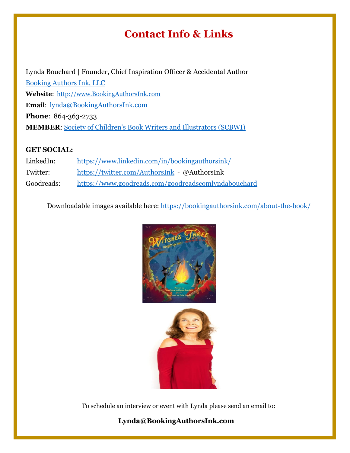# **Contact Info & Links**

Lynda Bouchard | Founder, Chief Inspiration Officer & Accidental Author [Booking Authors Ink, LLC](https://bookingauthorsink.com/) **Website**: [http://www.BookingAuthorsInk.com](http://www.bookingauthorsink.com/) **Email**: [lynda@BookingAuthorsInk.com](mailto:lynda@BookingAuthorsInk.com) **Phone**: 864-363-2733 **MEMBER**: [Society of Children's Book Writers and Illustrators \(SCBWI\)](https://www.scbwi.org/)

#### **GET SOCIAL:**

| LinkedIn:  | https://www.linkedin.com/in/bookingauthorsink/      |
|------------|-----------------------------------------------------|
| Twitter:   | https://twitter.com/AuthorsInk - @AuthorsInk        |
| Goodreads: | https://www.goodreads.com/goodreadscomlyndabouchard |

Downloadable images available here: <https://bookingauthorsink.com/about-the-book/>





To schedule an interview or event with Lynda please send an email to: